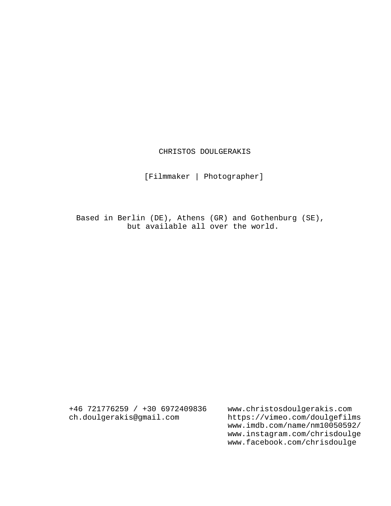# CHRISTOS DOULGERAKIS

[Filmmaker | Photographer]

Based in Berlin (DE), Athens (GR) and Gothenburg (SE), but available all over the world.

+46 721776259 / +30 6972409836 ch.doulgerakis@gmail.com

www.christosdoulgerakis.com https://vimeo.com/doulgefilms www.imdb.com/name/nm10050592/ www.instagram.com/chrisdoulge www.facebook.com/chrisdoulge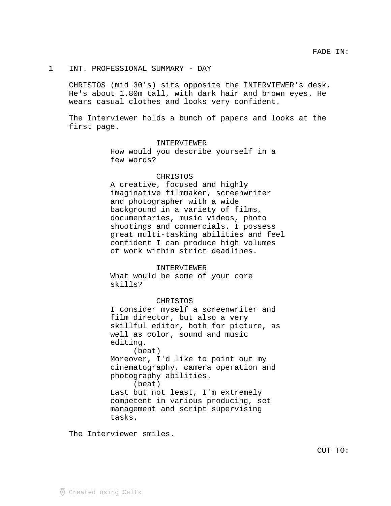# 1 INT. PROFESSIONAL SUMMARY - DAY

CHRISTOS (mid 30's) sits opposite the INTERVIEWER's desk. He's about 1.80m tall, with dark hair and brown eyes. He wears casual clothes and looks very confident.

The Interviewer holds a bunch of papers and looks at the first page.

INTERVIEWER

How would you describe yourself in a few words?

#### CHRISTOS

A creative, focused and highly imaginative filmmaker, screenwriter and photographer with a wide background in a variety of films, documentaries, music videos, photo shootings and commercials. I possess great multi-tasking abilities and feel confident I can produce high volumes of work within strict deadlines.

#### INTERVIEWER

What would be some of your core skills?

CHRISTOS

I consider myself a screenwriter and film director, but also a very skillful editor, both for picture, as well as color, sound and music editing.

(beat) Moreover, I'd like to point out my cinematography, camera operation and photography abilities. (beat)

Last but not least, I'm extremely competent in various producing, set management and script supervising tasks.

The Interviewer smiles.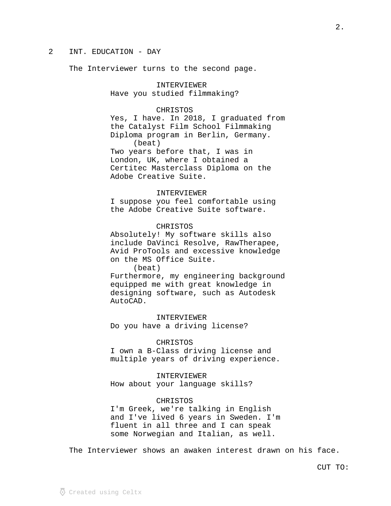# 2 INT. EDUCATION - DAY

The Interviewer turns to the second page.

INTERVIEWER Have you studied filmmaking?

# CHRISTOS

Yes, I have. In 2018, I graduated from the Catalyst Film School Filmmaking Diploma program in Berlin, Germany. (beat) Two years before that, I was in London, UK, where I obtained a Certitec Masterclass Diploma on the Adobe Creative Suite.

## INTERVIEWER

I suppose you feel comfortable using the Adobe Creative Suite software.

## CHRISTOS

Absolutely! My software skills also include DaVinci Resolve, RawTherapee, Avid ProTools and excessive knowledge on the MS Office Suite.

(beat)

Furthermore, my engineering background equipped me with great knowledge in designing software, such as Autodesk AutoCAD.

INTERVIEWER

Do you have a driving license?

#### CHRISTOS

I own a B-Class driving license and multiple years of driving experience.

INTERVIEWER

How about your language skills?

## CHRISTOS

I'm Greek, we're talking in English and I've lived 6 years in Sweden. I'm fluent in all three and I can speak some Norwegian and Italian, as well.

The Interviewer shows an awaken interest drawn on his face.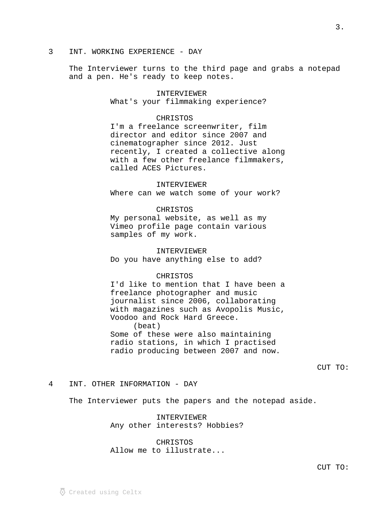3 INT. WORKING EXPERIENCE - DAY

The Interviewer turns to the third page and grabs a notepad and a pen. He's ready to keep notes.

> INTERVIEWER What's your filmmaking experience?

## CHRISTOS

I'm a freelance screenwriter, film director and editor since 2007 and cinematographer since 2012. Just recently, I created a collective along with a few other freelance filmmakers, called ACES Pictures.

#### INTERVIEWER

Where can we watch some of your work?

#### CHRISTOS

My personal website, as well as my Vimeo profile page contain various samples of my work.

#### INTERVIEWER

Do you have anything else to add?

## CHRISTOS

I'd like to mention that I have been a freelance photographer and music journalist since 2006, collaborating with magazines such as Avopolis Music, Voodoo and Rock Hard Greece. (beat) Some of these were also maintaining radio stations, in which I practised radio producing between 2007 and now.

CUT TO:

#### 4 INT. OTHER INFORMATION - DAY

The Interviewer puts the papers and the notepad aside.

INTERVIEWER Any other interests? Hobbies?

CHRISTOS Allow me to illustrate...